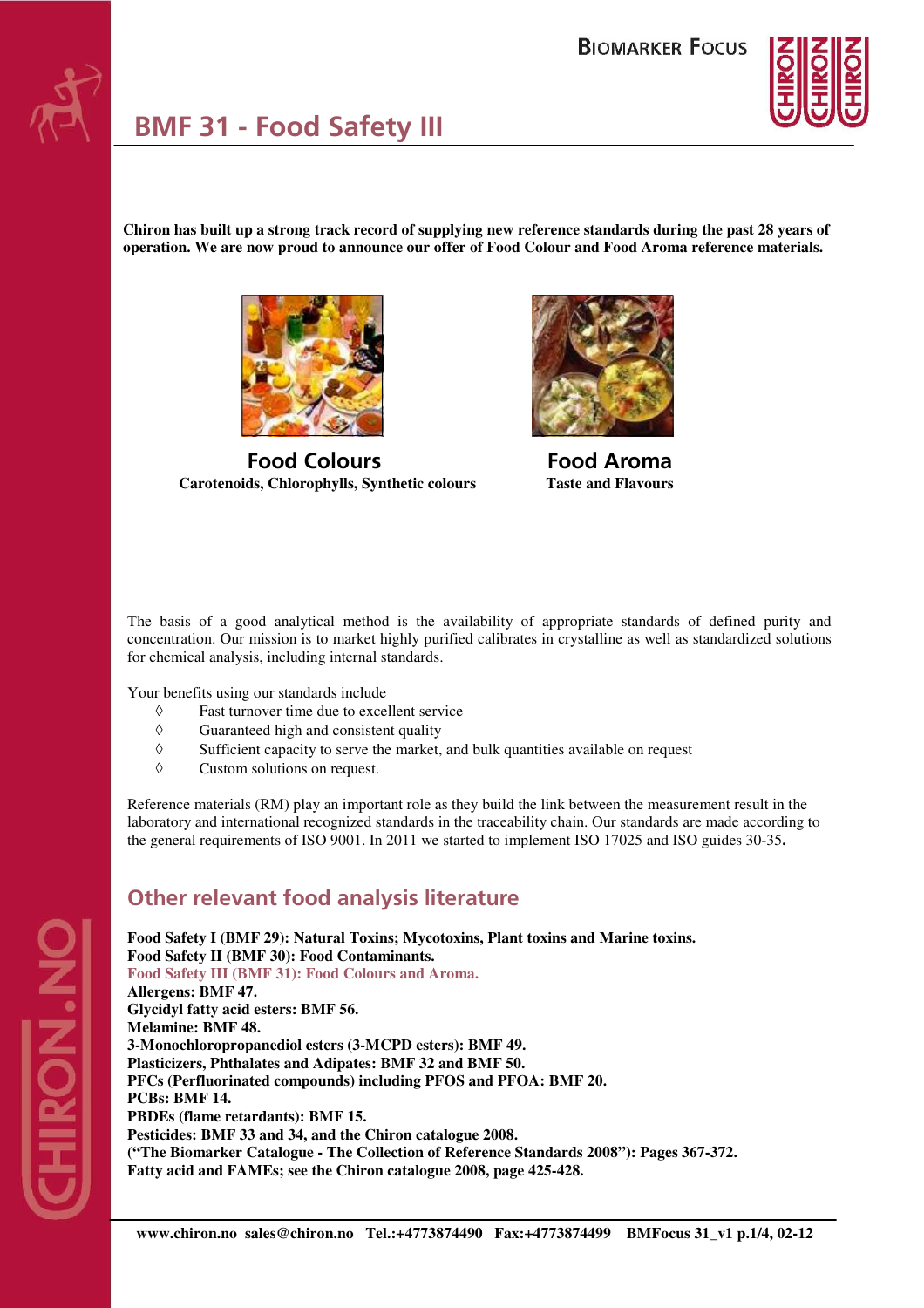

**Chiron has built up a strong track record of supplying new reference standards during the past 28 years of operation. We are now proud to announce our offer of Food Colour and Food Aroma reference materials.** 



 **Food Colours Food Aroma Carotenoids, Chlorophylls, Synthetic colours Taste and Flavours** 



The basis of a good analytical method is the availability of appropriate standards of defined purity and concentration. Our mission is to market highly purified calibrates in crystalline as well as standardized solutions for chemical analysis, including internal standards.

Your benefits using our standards include

- ◊ Fast turnover time due to excellent service
- ◊ Guaranteed high and consistent quality
- $\Diamond$  Sufficient capacity to serve the market, and bulk quantities available on request
- ◊ Custom solutions on request.

Reference materials (RM) play an important role as they build the link between the measurement result in the laboratory and international recognized standards in the traceability chain. Our standards are made according to the general requirements of ISO 9001. In 2011 we started to implement ISO 17025 and ISO guides 30-35**.** 

## **Other relevant food analysis literature**

**Food Safety I (BMF 29): Natural Toxins; Mycotoxins, Plant toxins and Marine toxins. Food Safety II (BMF 30): Food Contaminants. Food Safety III (BMF 31): Food Colours and Aroma. Allergens: BMF 47. Glycidyl fatty acid esters: BMF 56. Melamine: BMF 48. 3-Monochloropropanediol esters (3-MCPD esters): BMF 49. Plasticizers, Phthalates and Adipates: BMF 32 and BMF 50. PFCs (Perfluorinated compounds) including PFOS and PFOA: BMF 20. PCBs: BMF 14. PBDEs (flame retardants): BMF 15. Pesticides: BMF 33 and 34, and the Chiron catalogue 2008. ("The Biomarker Catalogue - The Collection of Reference Standards 2008"): Pages 367-372. Fatty acid and FAMEs; see the Chiron catalogue 2008, page 425-428.**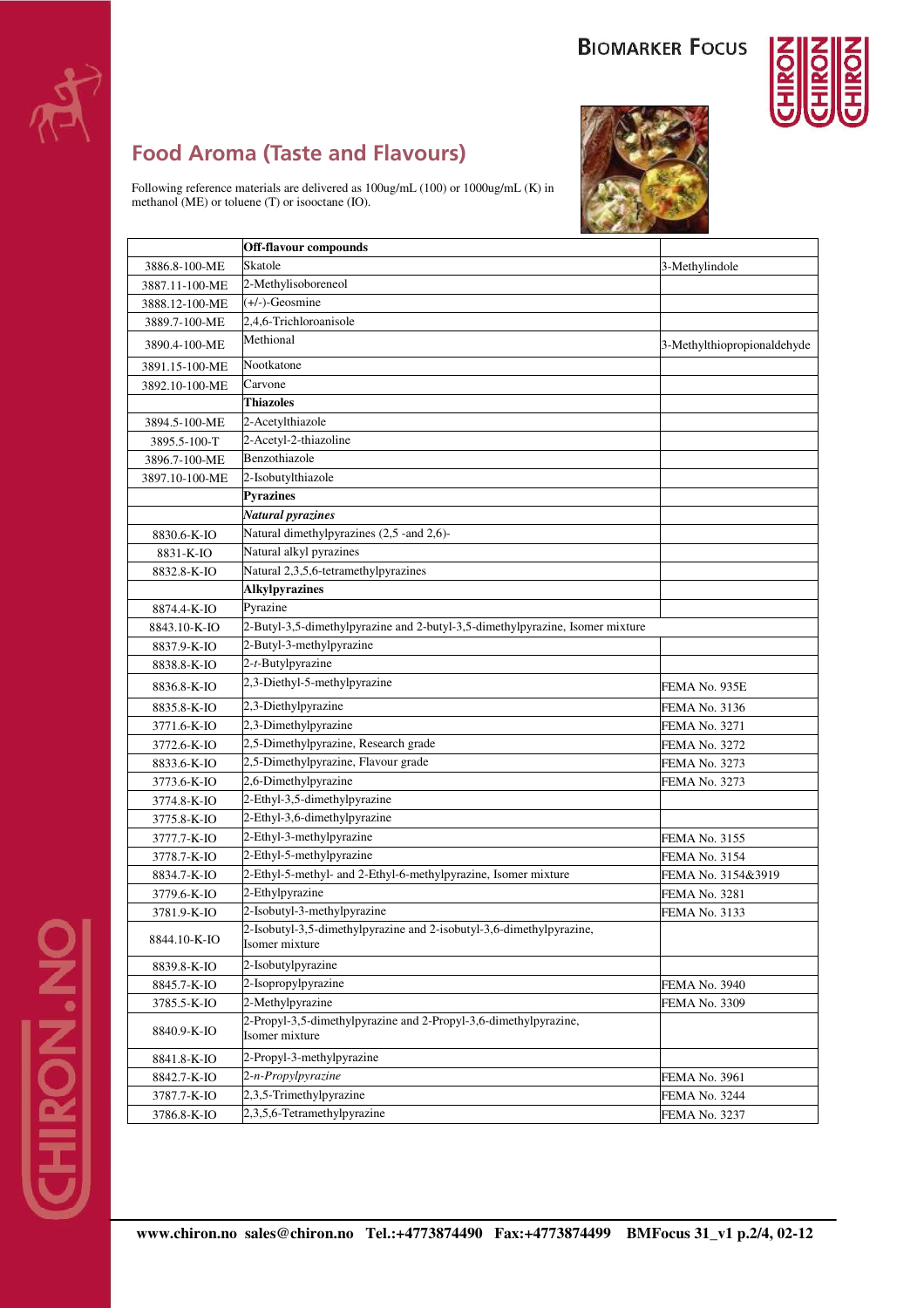

## **Food Aroma (Taste and Flavours)**

Following reference materials are delivered as 100ug/mL (100) or 1000ug/mL (K) in methanol (ME) or toluene (T) or isooctane (IO).





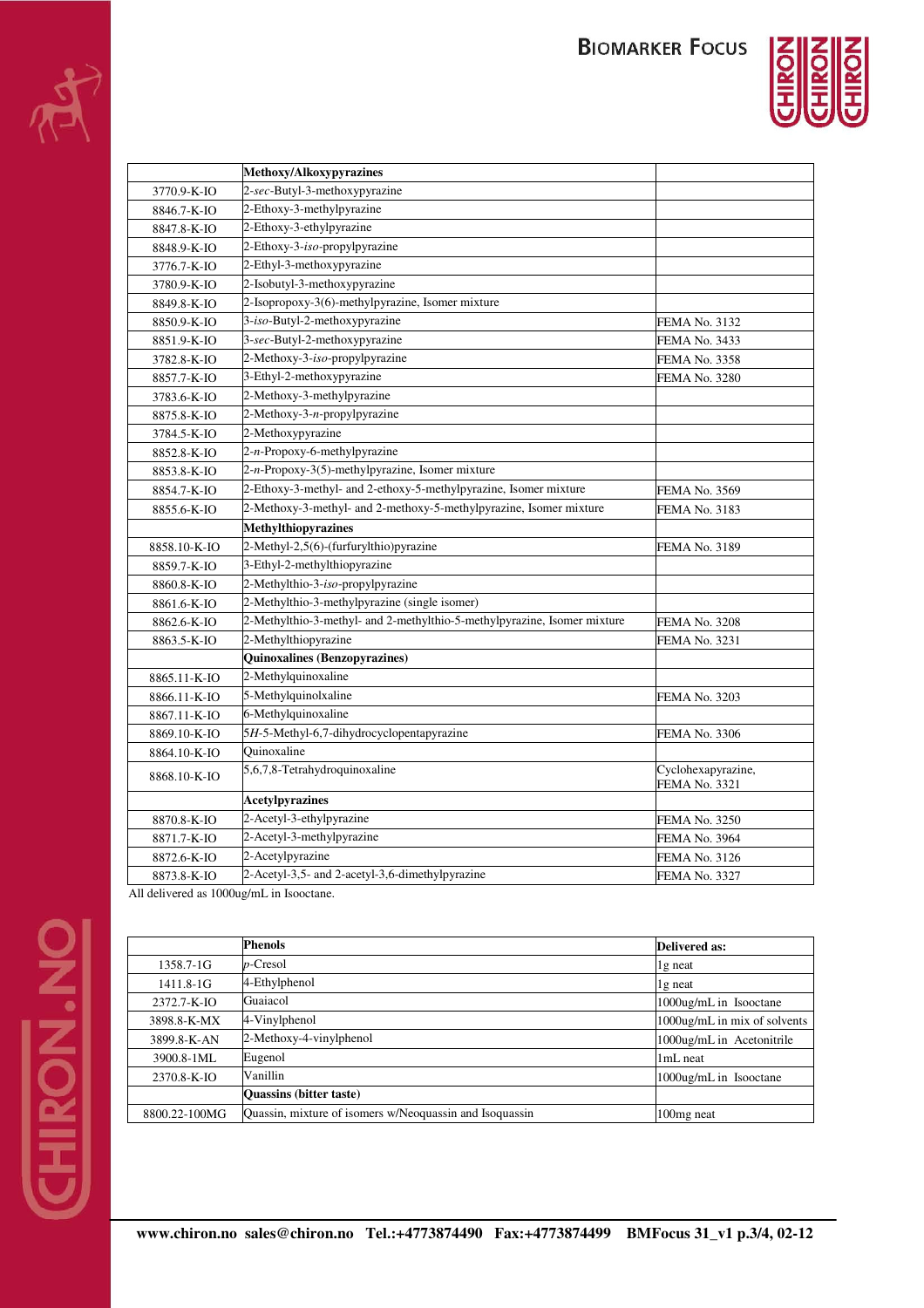

|              | Methoxy/Alkoxypyrazines                                                     |                      |  |  |
|--------------|-----------------------------------------------------------------------------|----------------------|--|--|
| 3770.9-K-IO  | 2-sec-Butyl-3-methoxypyrazine                                               |                      |  |  |
| 8846.7-K-IO  | 2-Ethoxy-3-methylpyrazine                                                   |                      |  |  |
| 8847.8-K-IO  | 2-Ethoxy-3-ethylpyrazine                                                    |                      |  |  |
| 8848.9-K-IO  | 2-Ethoxy-3-iso-propylpyrazine                                               |                      |  |  |
| 3776.7-K-IO  | 2-Ethyl-3-methoxypyrazine                                                   |                      |  |  |
| 3780.9-K-IO  | 2-Isobutyl-3-methoxypyrazine                                                |                      |  |  |
| 8849.8-K-IO  | 2-Isopropoxy-3(6)-methylpyrazine, Isomer mixture                            |                      |  |  |
| 8850.9-K-IO  | 3-iso-Butyl-2-methoxypyrazine<br><b>FEMA No. 3132</b>                       |                      |  |  |
| 8851.9-K-IO  | 3-sec-Butyl-2-methoxypyrazine<br><b>FEMA No. 3433</b>                       |                      |  |  |
| 3782.8-K-IO  | 2-Methoxy-3-iso-propylpyrazine<br><b>FEMA No. 3358</b>                      |                      |  |  |
| 8857.7-K-IO  | 3-Ethyl-2-methoxypyrazine<br><b>FEMA No. 3280</b>                           |                      |  |  |
| 3783.6-K-IO  | 2-Methoxy-3-methylpyrazine                                                  |                      |  |  |
| 8875.8-K-IO  | 2-Methoxy-3-n-propylpyrazine                                                |                      |  |  |
| 3784.5-K-IO  | 2-Methoxypyrazine                                                           |                      |  |  |
| 8852.8-K-IO  | 2-n-Propoxy-6-methylpyrazine                                                |                      |  |  |
| 8853.8-K-IO  | $2-n$ -Propoxy-3(5)-methylpyrazine, Isomer mixture                          |                      |  |  |
| 8854.7-K-IO  | 2-Ethoxy-3-methyl- and 2-ethoxy-5-methylpyrazine, Isomer mixture            | <b>FEMA No. 3569</b> |  |  |
| 8855.6-K-IO  | 2-Methoxy-3-methyl- and 2-methoxy-5-methylpyrazine, Isomer mixture          | FEMA No. 3183        |  |  |
|              | <b>Methylthiopyrazines</b>                                                  |                      |  |  |
| 8858.10-K-IO | 2-Methyl-2,5(6)-(furfurylthio)pyrazine                                      | <b>FEMA No. 3189</b> |  |  |
| 8859.7-K-IO  | 3-Ethyl-2-methylthiopyrazine                                                |                      |  |  |
| 8860.8-K-IO  | 2-Methylthio-3-iso-propylpyrazine                                           |                      |  |  |
| 8861.6-K-IO  | 2-Methylthio-3-methylpyrazine (single isomer)                               |                      |  |  |
| 8862.6-K-IO  | 2-Methylthio-3-methyl- and 2-methylthio-5-methylpyrazine, Isomer mixture    | <b>FEMA No. 3208</b> |  |  |
| 8863.5-K-IO  | 2-Methylthiopyrazine<br><b>FEMA No. 3231</b>                                |                      |  |  |
|              | <b>Quinoxalines (Benzopyrazines)</b>                                        |                      |  |  |
| 8865.11-K-IO | 2-Methylquinoxaline                                                         |                      |  |  |
| 8866.11-K-IO | 5-Methylquinolxaline                                                        | <b>FEMA No. 3203</b> |  |  |
| 8867.11-K-IO | 6-Methylquinoxaline                                                         |                      |  |  |
| 8869.10-K-IO | 5H-5-Methyl-6,7-dihydrocyclopentapyrazine<br><b>FEMA No. 3306</b>           |                      |  |  |
| 8864.10-K-IO | Quinoxaline                                                                 |                      |  |  |
| 8868.10-K-IO | 5,6,7,8-Tetrahydroquinoxaline<br>Cyclohexapyrazine,<br><b>FEMA No. 3321</b> |                      |  |  |
|              | <b>Acetylpyrazines</b>                                                      |                      |  |  |
| 8870.8-K-IO  | 2-Acetyl-3-ethylpyrazine                                                    | <b>FEMA No. 3250</b> |  |  |
| 8871.7-K-IO  | 2-Acetyl-3-methylpyrazine<br><b>FEMA No. 3964</b>                           |                      |  |  |
| 8872.6-K-IO  | 2-Acetylpyrazine                                                            | <b>FEMA No. 3126</b> |  |  |
| 8873.8-K-IO  | 2-Acetyl-3,5- and 2-acetyl-3,6-dimethylpyrazine                             | <b>FEMA No. 3327</b> |  |  |

All delivered as 1000ug/mL in Isooctane.

|               | Phenols                                                 | <b>Delivered as:</b>         |
|---------------|---------------------------------------------------------|------------------------------|
| 1358.7-1G     | $p$ -Cresol                                             | 1g neat                      |
| $1411.8 - 1G$ | 4-Ethylphenol                                           | 1g neat                      |
| 2372.7-K-IO   | Guaiacol                                                | 1000ug/mL in Isooctane       |
| 3898.8-K-MX   | 4-Vinylphenol                                           | 1000ug/mL in mix of solvents |
| 3899.8-K-AN   | 2-Methoxy-4-vinylphenol                                 | 1000ug/mL in Acetonitrile    |
| 3900.8-1ML    | Eugenol                                                 | 1mL neat                     |
| 2370.8-K-IO   | Vanillin                                                | 1000ug/mL in Isooctane       |
|               | <b>Quassins (bitter taste)</b>                          |                              |
| 8800.22-100MG | Quassin, mixture of isomers w/Neoquassin and Isoquassin | 100 <sub>mg</sub> neat       |